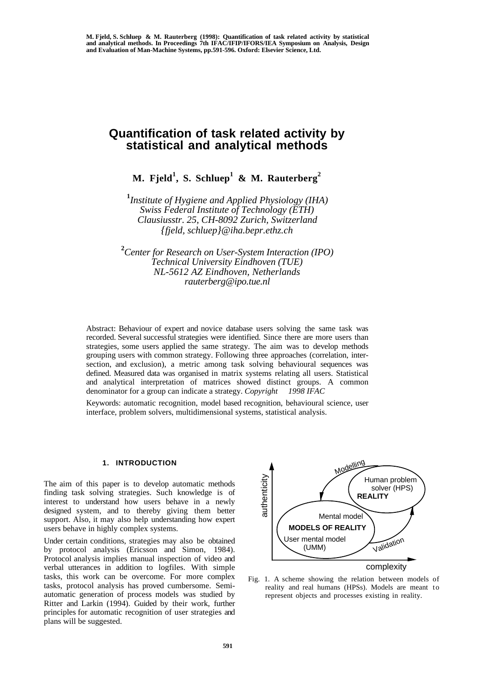# **Quantification of task related activity by statistical and analytical methods**

**M. Fjeld<sup>1</sup> , S. Schluep<sup>1</sup> & M. Rauterberg<sup>2</sup>**

**1** *Institute of Hygiene and Applied Physiology (IHA) Swiss Federal Institute of Technology (ETH) Clausiusstr*. *25, CH-8092 Zurich, Switzerland {fjeld, schluep}@iha.bepr.ethz.ch*

**2** *Center for Research on User-System Interaction (IPO) Technical University Eindhoven (TUE) NL-5612 AZ Eindhoven, Netherlands rauterberg@ipo.tue.nl*

Abstract: Behaviour of expert and novice database users solving the same task was recorded. Several successful strategies were identified. Since there are more users than strategies, some users applied the same strategy. The aim was to develop methods grouping users with common strategy. Following three approaches (correlation, intersection, and exclusion), a metric among task solving behavioural sequences was defined. Measured data was organised in matrix systems relating all users. Statistical and analytical interpretation of matrices showed distinct groups. A common denominator for a group can indicate a strategy. *Copyright 1998 IFAC*

Keywords: automatic recognition, model based recognition, behavioural science, user interface, problem solvers, multidimensional systems, statistical analysis.

# **1. INTRODUCTION**

The aim of this paper is to develop automatic methods finding task solving strategies. Such knowledge is of interest to understand how users behave in a newly designed system, and to thereby giving them better support. Also, it may also help understanding how expert users behave in highly complex systems.

Under certain conditions, strategies may also be obtained by protocol analysis (Ericsson and Simon, 1984). Protocol analysis implies manual inspection of video and verbal utterances in addition to logfiles. With simple tasks, this work can be overcome. For more complex tasks, protocol analysis has proved cumbersome. Semiautomatic generation of process models was studied by Ritter and Larkin (1994). Guided by their work, further principles for automatic recognition of user strategies and plans will be suggested.



Fig. 1. A scheme showing the relation between models of reality and real humans (HPSs). Models are meant to represent objects and processes existing in reality.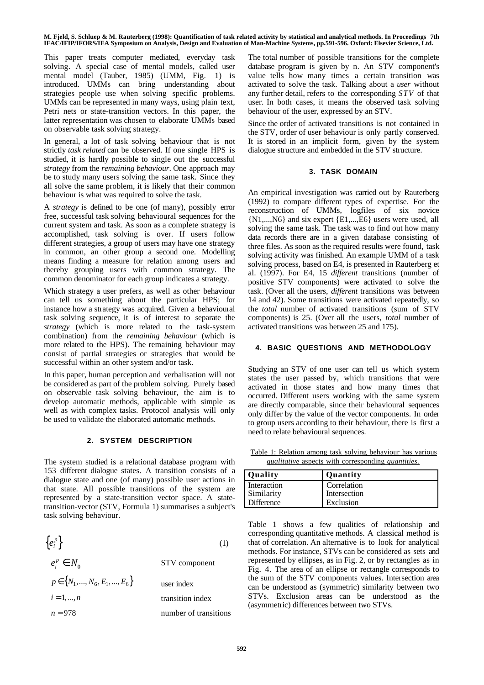This paper treats computer mediated, everyday task solving. A special case of mental models, called user mental model (Tauber, 1985) (UMM, Fig. 1) is introduced. UMMs can bring understanding about strategies people use when solving specific problems. UMMs can be represented in many ways, using plain text, Petri nets or state-transition vectors. In this paper, the latter representation was chosen to elaborate UMMs based on observable task solving strategy.

In general, a lot of task solving behaviour that is not strictly *task related* can be observed. If one single HPS is studied, it is hardly possible to single out the successful *strategy* from the *remaining behaviour*. One approach may be to study many users solving the same task. Since they all solve the same problem, it is likely that their common behaviour is what was required to solve the task.

A *strategy* is defined to be one (of many), possibly error free, successful task solving behavioural sequences for the current system and task. As soon as a complete strategy is accomplished, task solving is over. If users follow different strategies, a group of users may have one strategy in common, an other group a second one. Modelling means finding a measure for relation among users and thereby grouping users with common strategy. The common denominator for each group indicates a strategy.

Which strategy a user prefers, as well as other behaviour can tell us something about the particular HPS; for instance how a strategy was acquired. Given a behavioural task solving sequence, it is of interest to separate the *strategy* (which is more related to the task-system combination) from the *remaining behaviour* (which is more related to the HPS). The remaining behaviour may consist of partial strategies or strategies that would be successful within an other system and/or task.

In this paper, human perception and verbalisation will not be considered as part of the problem solving. Purely based on observable task solving behaviour, the aim is to develop automatic methods, applicable with simple as well as with complex tasks. Protocol analysis will only be used to validate the elaborated automatic methods.

# **2. SYSTEM DESCRIPTION**

The system studied is a relational database program with 153 different dialogue states. A transition consists of a dialogue state and one (of many) possible user actions in that state. All possible transitions of the system are represented by a state-transition vector space. A statetransition-vector (STV, Formula 1) summarises a subject's task solving behaviour.

| $\{e_i^p\}$                        | (1)                   |
|------------------------------------|-----------------------|
| $e_i^p \in N_0$                    | STV component         |
| $p \in \{N_1, , N_6, E_1, , E_6\}$ | user index            |
| $i = 1, , n$                       | transition index      |
| $n = 978$                          | number of transitions |

The total number of possible transitions for the complete database program is given by n. An STV component's value tells how many times a certain transition was activated to solve the task. Talking about a *user* without any further detail, refers to the corresponding *STV* of that user. In both cases, it means the observed task solving behaviour of the user, expressed by an STV.

Since the order of activated transitions is not contained in the STV, order of user behaviour is only partly conserved. It is stored in an implicit form, given by the system dialogue structure and embedded in the STV structure.

## **3. TASK DOMAIN**

An empirical investigation was carried out by Rauterberg (1992) to compare different types of expertise. For the reconstruction of UMMs, logfiles of six novice {N1,...,N6} and six expert {E1,...,E6} users were used, all solving the same task. The task was to find out how many data records there are in a given database consisting of three files. As soon as the required results were found, task solving activity was finished. An example UMM of a task solving process, based on E4, is presented in Rauterberg et al. (1997). For E4, 15 *different* transitions (number of positive STV components) were activated to solve the task. (Over all the users, *different* transitions was between 14 and 42). Some transitions were activated repeatedly, so the *total* number of activated transitions (sum of STV components) is 25. (Over all the users, *total* number of activated transitions was between 25 and 175).

# **4. BASIC QUESTIONS AND METHODOLOGY**

Studying an STV of one user can tell us which system states the user passed by, which transitions that were activated in those states and how many times that occurred. Different users working with the same system are directly comparable, since their behavioural sequences only differ by the value of the vector components. In order to group users according to their behaviour, there is first a need to relate behavioural sequences.

 Table 1: Relation among task solving behaviour has various  *qualitative* aspects with corresponding *quantities* .

| Quality           | Quantity     |
|-------------------|--------------|
| Interaction       | Correlation  |
| Similarity        | Intersection |
| <b>Difference</b> | Exclusion    |

Table 1 shows a few qualities of relationship and corresponding quantitative methods. A classical method is that of correlation. An alternative is to look for analytical methods. For instance, STVs can be considered as sets and represented by ellipses, as in Fig. 2, or by rectangles as in Fig. 4. The area of an ellipse or rectangle corresponds to the sum of the STV components values. Intersection area can be understood as (symmetric) similarity between two STVs. Exclusion areas can be understood as the (asymmetric) differences between two STVs.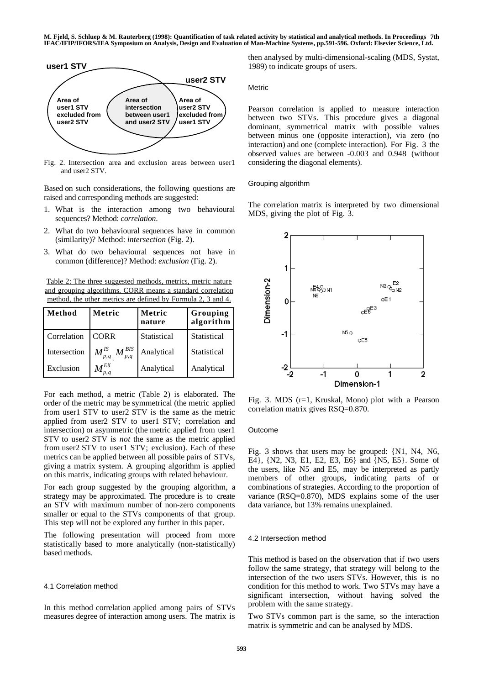

Fig. 2. Intersection area and exclusion areas between user1 and user2 STV.

Based on such considerations, the following questions are raised and corresponding methods are suggested:

- 1. What is the interaction among two behavioural sequences? Method: *correlation*.
- 2. What do two behavioural sequences have in common (similarity)? Method: *intersection* (Fig. 2).
- 3. What do two behavioural sequences not have in common (difference)? Method: *exclusion* (Fig. 2).

 Table 2: The three suggested methods, metrics, metric nature and grouping algorithms. CORR means a standard correlation method, the other metrics are defined by Formula 2, 3 and 4.

| Method       | Metric                                          | Metric<br>nature | Grouping<br>algorithm |  |
|--------------|-------------------------------------------------|------------------|-----------------------|--|
| Correlation  | <b>CORR</b>                                     | Statistical      | Statistical           |  |
| Intersection | $M_{p,q}^{\text{BIS}}$<br>$\bm{M}^{I\!S}_{p,q}$ | Analytical       | Statistical           |  |
| Exclusion    | $\pmb{M}^{EX}$<br>p,q                           | Analytical       | Analytical            |  |

For each method, a metric (Table 2) is elaborated. The order of the metric may be symmetrical (the metric applied from user1 STV to user2 STV is the same as the metric applied from user2 STV to user1 STV; correlation and intersection) or asymmetric (the metric applied from user1 STV to user2 STV is *not* the same as the metric applied from user2 STV to user1 STV; exclusion). Each of these metrics can be applied between all possible pairs of STVs, giving a matrix system. A grouping algorithm is applied on this matrix, indicating groups with related behaviour.

For each group suggested by the grouping algorithm, a strategy may be approximated. The procedure is to create an STV with maximum number of non-zero components smaller or equal to the STVs components of that group. This step will not be explored any further in this paper.

The following presentation will proceed from more statistically based to more analytically (non-statistically) based methods.

#### 4.1 Correlation method

In this method correlation applied among pairs of STVs measures degree of interaction among users. The matrix is then analysed by multi-dimensional-scaling (MDS, Systat, 1989) to indicate groups of users.

Metric

Pearson correlation is applied to measure interaction between two STVs. This procedure gives a diagonal dominant, symmetrical matrix with possible values between minus one (opposite interaction), via zero (no interaction) and one (complete interaction). For Fig. 3 the observed values are between -0.003 and 0.948 (without considering the diagonal elements).

Grouping algorithm

The correlation matrix is interpreted by two dimensional MDS, giving the plot of Fig. 3.



Fig. 3. MDS (r=1, Kruskal, Mono) plot with a Pearson correlation matrix gives RSQ=0.870.

#### Outcome

Fig. 3 shows that users may be grouped: {N1, N4, N6, E4}, {N2, N3, E1, E2, E3, E6} and {N5, E5}. Some of the users, like N5 and E5, may be interpreted as partly members of other groups, indicating parts of or combinations of strategies. According to the proportion of variance (RSQ=0.870), MDS explains some of the user data variance, but 13% remains unexplained.

#### 4.2 Intersection method

This method is based on the observation that if two users follow the same strategy, that strategy will belong to the intersection of the two users STVs. However, this is no condition for this method to work. Two STVs may have a significant intersection, without having solved the problem with the same strategy.

Two STVs common part is the same, so the interaction matrix is symmetric and can be analysed by MDS.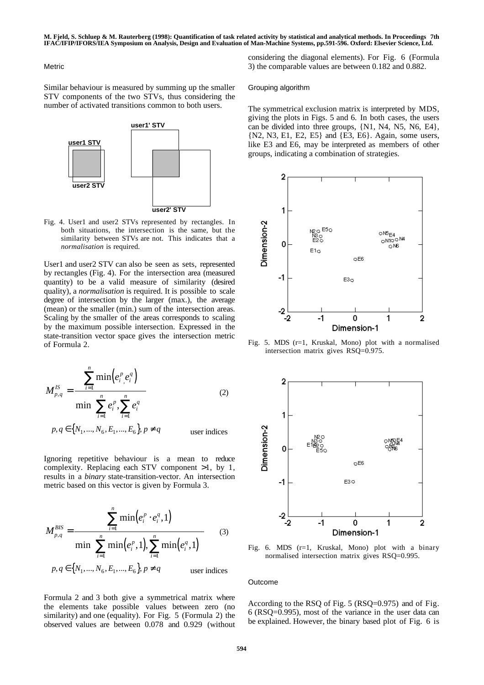#### Metric

Similar behaviour is measured by summing up the smaller STV components of the two STVs, thus considering the number of activated transitions common to both users.



Fig. 4. User1 and user2 STVs represented by rectangles. In both situations, the intersection is the same, but the similarity between STVs are not. This indicates that a *normalisation* is required.

User1 and user2 STV can also be seen as sets, represented by rectangles (Fig. 4). For the intersection area (measured quantity) to be a valid measure of similarity (desired quality), a *normalisation* is required. It is possible to scale degree of intersection by the larger (max.), the average (mean) or the smaller (min.) sum of the intersection areas. Scaling by the smaller of the areas corresponds to scaling by the maximum possible intersection. Expressed in the state-transition vector space gives the intersection metric of Formula 2.

$$
M_{p,q}^{IS} = \frac{\sum_{i=1}^{n} \min(e_i^p, e_i^q)}{\min(\sum_{i=1}^{n} e_i^p, \sum_{i=1}^{n} e_i^q)}
$$
(2)  

$$
p, q \in \{N_1, ..., N_6, E_1, ..., E_6\}, p \neq q
$$
user indices

Ignoring repetitive behaviour is a mean to reduce complexity. Replacing each STV component >1, by 1, results in a *binary* state-transition-vector. An intersection metric based on this vector is given by Formula 3.

$$
M_{p,q}^{BIS} = \frac{\sum_{i=1}^{n} \min(e_i^p \cdot e_i^q, 1)}{\min(\sum_{i=1}^{n} \min(e_i^p, 1), \sum_{i=1}^{n} \min(e_i^q, 1))}
$$
(3)  
 $p, q \in \{N_1, ..., N_6, E_1, ..., E_6\}, p \neq q$ user indices

Formula 2 and 3 both give a symmetrical matrix where the elements take possible values between zero (no similarity) and one (equality). For Fig. 5 (Formula 2) the observed values are between 0.078 and 0.929 (without considering the diagonal elements). For Fig. 6 (Formula 3) the comparable values are between 0.182 and 0.882.

#### Grouping algorithm

The symmetrical exclusion matrix is interpreted by MDS, giving the plots in Figs. 5 and 6. In both cases, the users can be divided into three groups, {N1, N4, N5, N6, E4}, {N2, N3, E1, E2, E5} and {E3, E6}. Again, some users, like E3 and E6, may be interpreted as members of other groups, indicating a combination of strategies.



Fig. 5. MDS (r=1, Kruskal, Mono) plot with a normalised intersection matrix gives RSQ=0.975.



Fig. 6. MDS (r=1, Kruskal, Mono) plot with a binary normalised intersection matrix gives RSQ=0.995.

## Outcome

According to the RSQ of Fig. 5 (RSQ=0.975) and of Fig. 6 (RSQ=0.995), most of the variance in the user data can be explained. However, the binary based plot of Fig. 6 is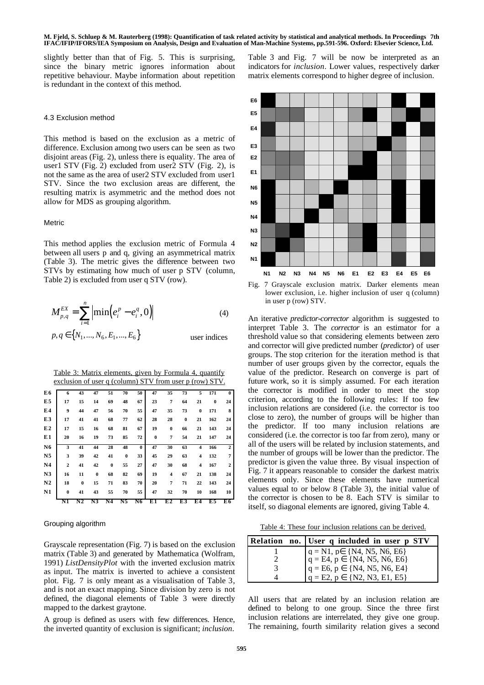slightly better than that of Fig. 5. This is surprising, since the binary metric ignores information about repetitive behaviour. Maybe information about repetition is redundant in the context of this method.

#### 4.3 Exclusion method

This method is based on the exclusion as a metric of difference. Exclusion among two users can be seen as two disjoint areas (Fig. 2), unless there is equality. The area of user1 STV (Fig. 2) excluded from user2 STV (Fig. 2), is not the same as the area of user2 STV excluded from user1 STV. Since the two exclusion areas are different, the resulting matrix is asymmetric and the method does not allow for MDS as grouping algorithm.

#### **Metric**

This method applies the exclusion metric of Formula 4 between all users p and q, giving an asymmetrical matrix (Table 3). The metric gives the difference between two STVs by estimating how much of user p STV (column, Table 2) is excluded from user q STV (row).

$$
M_{p,q}^{EX} = \sum_{i=1}^{n} \left| \min(e_i^p - e_i^q, 0) \right| \tag{4}
$$

$$
p, q \in \{N_1, ..., N_6, E_1, ..., E_6\}
$$
 user indices

 Table 3: Matrix elements, given by Formula 4, quantify exclusion of user q (column) STV from user p (row) STV.

| E6             | 6              | 43       | 47       | 51       | 70       | 50       | 47       | 35       | 73       | 5        | 171      | $\mathbf{0}$   |
|----------------|----------------|----------|----------|----------|----------|----------|----------|----------|----------|----------|----------|----------------|
| E <sub>5</sub> | 17             | 15       | 14       | 69       | 48       | 67       | 23       | 7        | 64       | 21       | $\bf{0}$ | 24             |
| E4             | 9              | 44       | 47       | 56       | 70       | 55       | 47       | 35       | 73       | $\bf{0}$ | 171      | 8              |
| E3             | 17             | 41       | 41       | 68       | 77       | 62       | 28       | 28       | $\bf{0}$ | 21       | 162      | 24             |
| E2             | 17             | 15       | 16       | 68       | 81       | 67       | 19       | $\bf{0}$ | 66       | 21       | 143      | 24             |
| E1             | 20             | 16       | 19       | 73       | 85       | 72       | $\bf{0}$ | 7        | 54       | 21       | 147      | 24             |
| N <sub>6</sub> | 3              | 41       | 44       | 28       | 48       | $\bf{0}$ | 47       | 30       | 63       | 4        | 166      | $\mathbf{2}$   |
| N <sub>5</sub> | 3              | 39       | 42       | 41       | $\bf{0}$ | 33       | 45       | 29       | 63       | 4        | 132      | 7              |
| N <sub>4</sub> | $\overline{2}$ | 41       | 42       | $\bf{0}$ | 55       | 27       | 47       | 30       | 68       | 4        | 167      | $\overline{2}$ |
| N <sub>3</sub> | 16             | 11       | $\bf{0}$ | 68       | 82       | 69       | 19       | 4        | 67       | 21       | 138      | 24             |
| N <sub>2</sub> | 18             | $\bf{0}$ | 15       | 71       | 83       | 70       | 20       | 7        | 71       | 22       | 143      | 24             |
| N <sub>1</sub> | $\bf{0}$       | 41       | 43       | 55       | 70       | 55       | 47       | 32       | 70       | 10       | 168      | 10             |
|                | N1             | N2       | N3       | N4       | N5       | N6       | E1       | E2       | E3       | E4       | E5       | E6             |

## Grouping algorithm

Grayscale representation (Fig. 7) is based on the exclusion matrix (Table 3) and generated by Mathematica (Wolfram, 1991) *ListDensityPlot* with the inverted exclusion matrix as input. The matrix is inverted to achieve a consistent plot. Fig. 7 is only meant as a visualisation of Table 3, and is not an exact mapping. Since division by zero is not defined, the diagonal elements of Table 3 were directly mapped to the darkest graytone.

A group is defined as users with few differences. Hence, the inverted quantity of exclusion is significant; *inclusion*.



lower exclusion, i.e. higher inclusion of user q (column) in user p (row) STV.

An iterative *predictor-corrector* algorithm is suggested to interpret Table 3. The *corrector* is an estimator for a threshold value so that considering elements between zero and corrector will give predicted number (*predictor*) of user groups. The stop criterion for the iteration method is that number of user groups given by the corrector, equals the value of the predictor. Research on converge is part of future work, so it is simply assumed. For each iteration the corrector is modified in order to meet the stop criterion, according to the following rules: If too few inclusion relations are considered (i.e. the corrector is too close to zero), the number of groups will be higher than the predictor. If too many inclusion relations are considered (i.e. the corrector is too far from zero), many or all of the users will be related by inclusion statements, and the number of groups will be lower than the predictor. The predictor is given the value three. By visual inspection of Fig. 7 it appears reasonable to consider the darkest matrix elements only. Since these elements have numerical values equal to or below 8 (Table 3), the initial value of the corrector is chosen to be 8. Each STV is similar to itself, so diagonal elements are ignored, giving Table 4.

Table 4: These four inclusion relations can be derived.

| Relation no. User q included in user p STV                                     |
|--------------------------------------------------------------------------------|
|                                                                                |
| $q = N1$ , $p \in \{N4, N5, N6, E6\}$<br>$q = E4$ , $p \in \{N4, N5, N6, E6\}$ |
| $q = E6, p \in \{N4, N5, N6, E4\}$                                             |
| $q = E2, p \in \{N2, N3, E1, E5\}$                                             |

All users that are related by an inclusion relation are defined to belong to one group. Since the three first inclusion relations are interrelated, they give one group. The remaining, fourth similarity relation gives a second

Table 3 and Fig. 7 will be now be interpreted as an indicators for *inclusion*. Lower values, respectively darker matrix elements correspond to higher degree of inclusion.